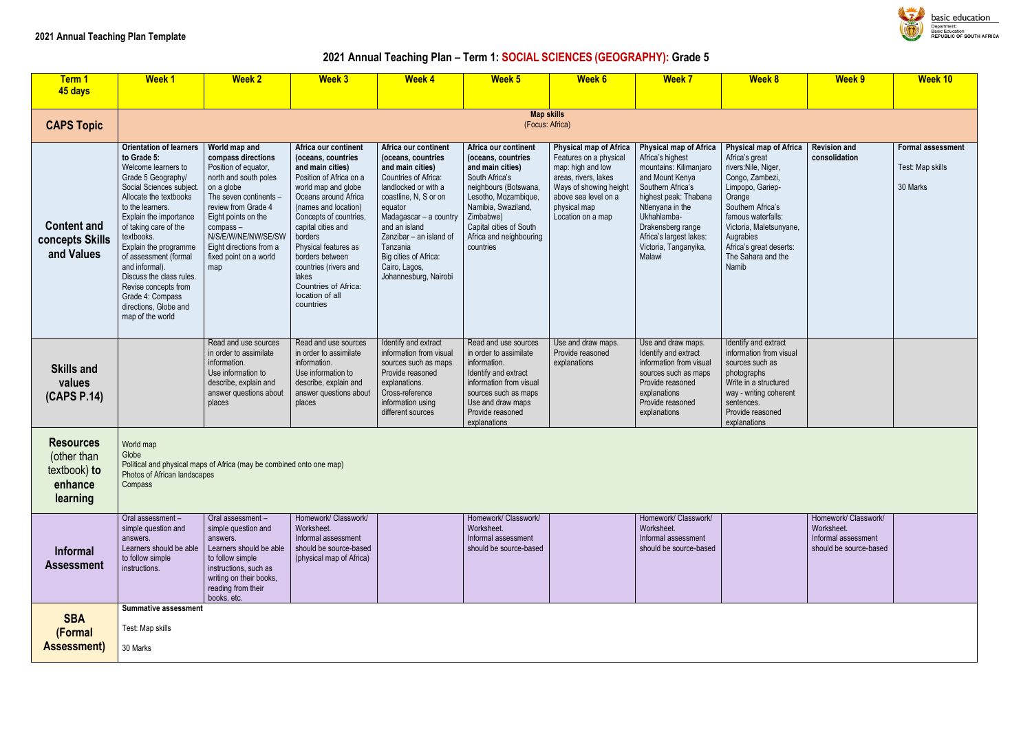# **2021 Annual Teaching Plan – Term 1: SOCIAL SCIENCES (GEOGRAPHY): Grade 5**

| Term 1                                                                 | <b>Week1</b>                                                                                                                                                                                                                                                                                                                                                                                                                   | <b>Week 2</b>                                                                                                                                                                                                                                                             | <b>Week 3</b>                                                                                                                                                                                                                                                                                                                                                    | <b>Week 4</b>                                                                                                                                                                                                                                                                                           | Week 5                                                                                                                                                                                                                                   | <b>Week 6</b>                                                                                                                                                                        | <b>Week 7</b>                                                                                                                                                                                                                                                      | <b>Week 8</b>                                                                                                                                                                                                                                                  | <b>Week 9</b>                                                                       | <b>Week 10</b>                                        |
|------------------------------------------------------------------------|--------------------------------------------------------------------------------------------------------------------------------------------------------------------------------------------------------------------------------------------------------------------------------------------------------------------------------------------------------------------------------------------------------------------------------|---------------------------------------------------------------------------------------------------------------------------------------------------------------------------------------------------------------------------------------------------------------------------|------------------------------------------------------------------------------------------------------------------------------------------------------------------------------------------------------------------------------------------------------------------------------------------------------------------------------------------------------------------|---------------------------------------------------------------------------------------------------------------------------------------------------------------------------------------------------------------------------------------------------------------------------------------------------------|------------------------------------------------------------------------------------------------------------------------------------------------------------------------------------------------------------------------------------------|--------------------------------------------------------------------------------------------------------------------------------------------------------------------------------------|--------------------------------------------------------------------------------------------------------------------------------------------------------------------------------------------------------------------------------------------------------------------|----------------------------------------------------------------------------------------------------------------------------------------------------------------------------------------------------------------------------------------------------------------|-------------------------------------------------------------------------------------|-------------------------------------------------------|
| 45 days                                                                |                                                                                                                                                                                                                                                                                                                                                                                                                                |                                                                                                                                                                                                                                                                           |                                                                                                                                                                                                                                                                                                                                                                  |                                                                                                                                                                                                                                                                                                         |                                                                                                                                                                                                                                          |                                                                                                                                                                                      |                                                                                                                                                                                                                                                                    |                                                                                                                                                                                                                                                                |                                                                                     |                                                       |
| <b>CAPS Topic</b>                                                      |                                                                                                                                                                                                                                                                                                                                                                                                                                |                                                                                                                                                                                                                                                                           |                                                                                                                                                                                                                                                                                                                                                                  |                                                                                                                                                                                                                                                                                                         | <b>Map skills</b><br>(Focus: Africa)                                                                                                                                                                                                     |                                                                                                                                                                                      |                                                                                                                                                                                                                                                                    |                                                                                                                                                                                                                                                                |                                                                                     |                                                       |
| <b>Content and</b><br>concepts Skills<br>and Values                    | <b>Orientation of learners</b><br>to Grade 5:<br>Welcome learners to<br>Grade 5 Geography/<br>Social Sciences subject.<br>Allocate the textbooks<br>to the learners.<br>Explain the importance<br>of taking care of the<br>textbooks.<br>Explain the programme<br>of assessment (formal<br>and informal).<br>Discuss the class rules.<br>Revise concepts from<br>Grade 4: Compass<br>directions, Globe and<br>map of the world | World map and<br>compass directions<br>Position of equator,<br>north and south poles<br>on a globe<br>The seven continents -<br>review from Grade 4<br>Eight points on the<br>compass-<br>N/S/E/W/NE/NW/SE/SW<br>Eight directions from a<br>fixed point on a world<br>map | Africa our continent<br>(oceans, countries<br>and main cities)<br>Position of Africa on a<br>world map and globe<br>Oceans around Africa<br>(names and location)<br>Concepts of countries,<br>capital cities and<br>borders<br>Physical features as<br>borders between<br>countries (rivers and<br>lakes<br>Countries of Africa:<br>location of all<br>countries | Africa our continent<br>(oceans, countries<br>and main cities)<br>Countries of Africa:<br>landlocked or with a<br>coastline, N, S or on<br>equator<br>Madagascar - a country<br>and an island<br>Zanzibar - an island of<br>Tanzania<br>Big cities of Africa:<br>Cairo, Lagos,<br>Johannesburg, Nairobi | Africa our continent<br>(oceans, countries<br>and main cities)<br>South Africa's<br>neighbours (Botswana,<br>Lesotho, Mozambique,<br>Namibia, Swaziland,<br>Zimbabwe)<br>Capital cities of South<br>Africa and neighbouring<br>countries | Physical map of Africa<br>Features on a physical<br>map: high and low<br>areas, rivers, lakes<br>Ways of showing height<br>above sea level on a<br>physical map<br>Location on a map | <b>Physical map of Africa</b><br>Africa's highest<br>mountains: Kilimanjaro<br>and Mount Kenya<br>Southern Africa's<br>highest peak: Thabana<br>Ntlenyana in the<br>Ukhahlamba-<br>Drakensberg range<br>Africa's largest lakes:<br>Victoria, Tanganyika,<br>Malawi | Physical map of Africa<br>Africa's great<br>rivers: Nile, Niger,<br>Congo, Zambezi,<br>Limpopo, Gariep-<br>Orange<br>Southern Africa's<br>famous waterfalls:<br>Victoria, Maletsunyane,<br>Augrabies<br>Africa's great deserts:<br>The Sahara and the<br>Namib | <b>Revision and</b><br>consolidation                                                | <b>Formal assessn</b><br>Test: Map skills<br>30 Marks |
| <b>Skills and</b><br>values<br>(CAPS P.14)                             |                                                                                                                                                                                                                                                                                                                                                                                                                                | Read and use sources<br>in order to assimilate<br>information.<br>Use information to<br>describe, explain and<br>answer questions about<br>places                                                                                                                         | Read and use sources<br>in order to assimilate<br>information.<br>Use information to<br>describe, explain and<br>answer questions about<br>places                                                                                                                                                                                                                | Identify and extract<br>information from visual<br>sources such as maps.<br>Provide reasoned<br>explanations.<br>Cross-reference<br>information using<br>different sources                                                                                                                              | Read and use sources<br>in order to assimilate<br>information.<br>Identify and extract<br>information from visual<br>sources such as maps<br>Use and draw maps<br>Provide reasoned<br>explanations                                       | Use and draw maps.<br>Provide reasoned<br>explanations                                                                                                                               | Use and draw maps.<br>Identify and extract<br>information from visual<br>sources such as maps<br>Provide reasoned<br>explanations<br>Provide reasoned<br>explanations                                                                                              | Identify and extract<br>information from visual<br>sources such as<br>photographs<br>Write in a structured<br>way - writing coherent<br>sentences.<br>Provide reasoned<br>explanations                                                                         |                                                                                     |                                                       |
| <b>Resources</b><br>(other than<br>textbook) to<br>enhance<br>learning | World map<br>Globe<br>Photos of African landscapes<br>Compass                                                                                                                                                                                                                                                                                                                                                                  | Political and physical maps of Africa (may be combined onto one map)                                                                                                                                                                                                      |                                                                                                                                                                                                                                                                                                                                                                  |                                                                                                                                                                                                                                                                                                         |                                                                                                                                                                                                                                          |                                                                                                                                                                                      |                                                                                                                                                                                                                                                                    |                                                                                                                                                                                                                                                                |                                                                                     |                                                       |
| Informal<br>Assessment                                                 | Oral assessment -<br>simple question and<br>answers.<br>Learners should be able<br>to follow simple<br>instructions.                                                                                                                                                                                                                                                                                                           | Oral assessment -<br>simple question and<br>answers.<br>Learners should be able<br>to follow simple<br>instructions, such as<br>writing on their books,<br>reading from their<br>books, etc.                                                                              | Homework/ Classwork/<br>Worksheet.<br>Informal assessment<br>should be source-based<br>(physical map of Africa)                                                                                                                                                                                                                                                  |                                                                                                                                                                                                                                                                                                         | Homework/ Classwork/<br>Worksheet.<br>Informal assessment<br>should be source-based                                                                                                                                                      |                                                                                                                                                                                      | Homework/ Classwork/<br>Worksheet.<br>Informal assessment<br>should be source-based                                                                                                                                                                                |                                                                                                                                                                                                                                                                | Homework/ Classwork/<br>Worksheet.<br>Informal assessment<br>should be source-based |                                                       |
| <b>SBA</b><br>(Formal<br><b>Assessment)</b>                            | <b>Summative assessment</b><br>Test: Map skills<br>30 Marks                                                                                                                                                                                                                                                                                                                                                                    |                                                                                                                                                                                                                                                                           |                                                                                                                                                                                                                                                                                                                                                                  |                                                                                                                                                                                                                                                                                                         |                                                                                                                                                                                                                                          |                                                                                                                                                                                      |                                                                                                                                                                                                                                                                    |                                                                                                                                                                                                                                                                |                                                                                     |                                                       |



**Dasic education** Department:<br>Department:<br>Basic Education<br>REPUBLIC OF SOUTH AFRICA

|                                                            | Week 9                                                                              | <b>Week 10</b>                                    |
|------------------------------------------------------------|-------------------------------------------------------------------------------------|---------------------------------------------------|
|                                                            |                                                                                     |                                                   |
| <b>Africa</b><br>$\mathbf{s}$ :<br>nyane,<br>serts:<br>the | <b>Revision and</b><br>consolidation                                                | Formal assessment<br>Test: Map skills<br>30 Marks |
| $\overline{\text{ict}}$<br>visual<br>red<br>erent<br>l     |                                                                                     |                                                   |
|                                                            |                                                                                     |                                                   |
|                                                            | Homework/ Classwork/<br>Worksheet.<br>Informal assessment<br>should be source-based |                                                   |
|                                                            |                                                                                     |                                                   |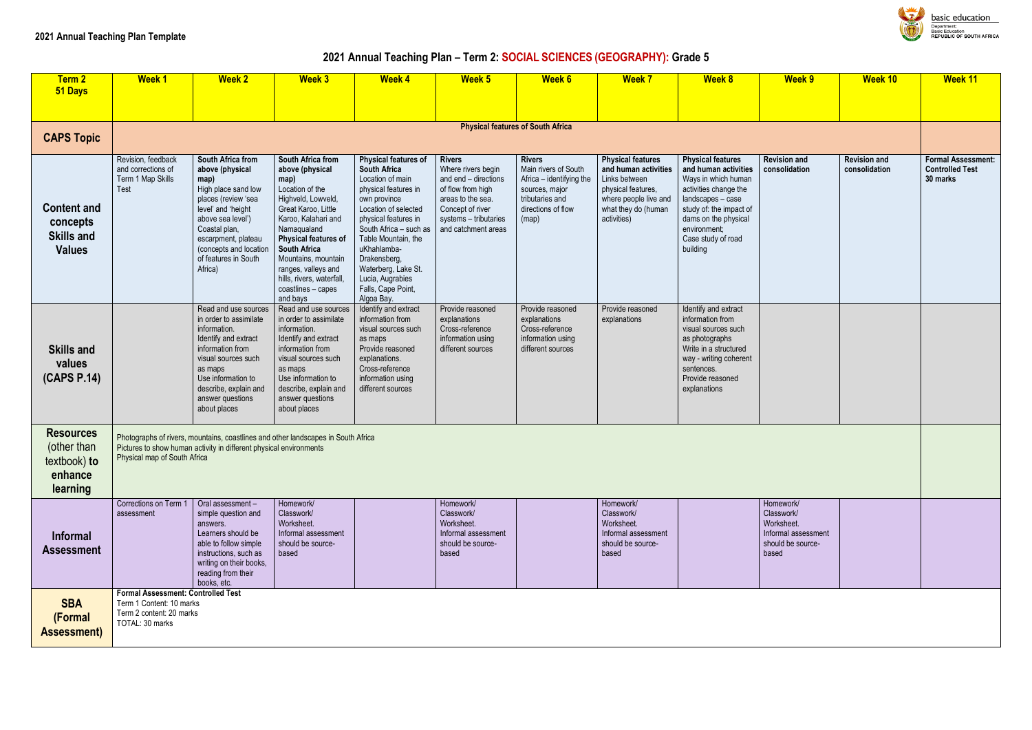# **2021 Annual Teaching Plan – Term 2: SOCIAL SCIENCES (GEOGRAPHY): Grade 5**

| Term <sub>2</sub><br>51 Days                                           | <b>Week1</b>                                                                                                         | <b>Week 2</b>                                                                                                                                                                                                                              | <b>Week 3</b>                                                                                                                                                                                                                                                                                                  | <b>Week 4</b>                                                                                                                                                                                                                                                                                                                 | Week 5                                                                                                                                                                    | Week 6                                                                                                                                | <b>Week 7</b>                                                                                                                                          | <b>Week 8</b>                                                                                                                                                                                                              | <b>Week 9</b>                                                                              | <b>Week 10</b>                       | <b>Week 11</b>                                             |
|------------------------------------------------------------------------|----------------------------------------------------------------------------------------------------------------------|--------------------------------------------------------------------------------------------------------------------------------------------------------------------------------------------------------------------------------------------|----------------------------------------------------------------------------------------------------------------------------------------------------------------------------------------------------------------------------------------------------------------------------------------------------------------|-------------------------------------------------------------------------------------------------------------------------------------------------------------------------------------------------------------------------------------------------------------------------------------------------------------------------------|---------------------------------------------------------------------------------------------------------------------------------------------------------------------------|---------------------------------------------------------------------------------------------------------------------------------------|--------------------------------------------------------------------------------------------------------------------------------------------------------|----------------------------------------------------------------------------------------------------------------------------------------------------------------------------------------------------------------------------|--------------------------------------------------------------------------------------------|--------------------------------------|------------------------------------------------------------|
|                                                                        |                                                                                                                      |                                                                                                                                                                                                                                            |                                                                                                                                                                                                                                                                                                                |                                                                                                                                                                                                                                                                                                                               |                                                                                                                                                                           |                                                                                                                                       |                                                                                                                                                        |                                                                                                                                                                                                                            |                                                                                            |                                      |                                                            |
|                                                                        |                                                                                                                      |                                                                                                                                                                                                                                            |                                                                                                                                                                                                                                                                                                                |                                                                                                                                                                                                                                                                                                                               |                                                                                                                                                                           | <b>Physical features of South Africa</b>                                                                                              |                                                                                                                                                        |                                                                                                                                                                                                                            |                                                                                            |                                      |                                                            |
| <b>CAPS Topic</b>                                                      |                                                                                                                      |                                                                                                                                                                                                                                            |                                                                                                                                                                                                                                                                                                                |                                                                                                                                                                                                                                                                                                                               |                                                                                                                                                                           |                                                                                                                                       |                                                                                                                                                        |                                                                                                                                                                                                                            |                                                                                            |                                      |                                                            |
| <b>Content and</b><br>concepts<br><b>Skills and</b><br><b>Values</b>   | Revision, feedback<br>and corrections of<br>Term 1 Map Skills<br><b>Test</b>                                         | South Africa from<br>above (physical<br>map)<br>High place sand low<br>places (review 'sea<br>level' and 'height<br>above sea level')<br>Coastal plan,<br>escarpment, plateau<br>(concepts and location<br>of features in South<br>Africa) | South Africa from<br>above (physical<br>map)<br>Location of the<br>Highveld, Lowveld,<br>Great Karoo, Little<br>Karoo, Kalahari and<br>Namaqualand<br>Physical features of<br><b>South Africa</b><br>Mountains, mountain<br>ranges, valleys and<br>hills, rivers, waterfall,<br>coastlines - capes<br>and bays | <b>Physical features of</b><br><b>South Africa</b><br>Location of main<br>physical features in<br>own province<br>Location of selected<br>physical features in<br>South Africa - such as<br>Table Mountain, the<br>uKhahlamba-<br>Drakensberg,<br>Waterberg, Lake St.<br>Lucia, Augrabies<br>Falls, Cape Point,<br>Algoa Bay. | <b>Rivers</b><br>Where rivers begin<br>and end - directions<br>of flow from high<br>areas to the sea.<br>Concept of river<br>systems - tributaries<br>and catchment areas | <b>Rivers</b><br>Main rivers of South<br>Africa - identifying the<br>sources, major<br>tributaries and<br>directions of flow<br>(map) | <b>Physical features</b><br>and human activities<br>Links between<br>physical features,<br>where people live and<br>what they do (human<br>activities) | <b>Physical features</b><br>and human activities<br>Ways in which human<br>activities change the<br>landscapes - case<br>study of: the impact of<br>dams on the physical<br>environment;<br>Case study of road<br>building | <b>Revision and</b><br>consolidation                                                       | <b>Revision and</b><br>consolidation | <b>Formal Assess</b><br><b>Controlled Test</b><br>30 marks |
| <b>Skills and</b><br>values<br>(CAPS P.14)                             |                                                                                                                      | Read and use sources<br>in order to assimilate<br>information.<br>Identify and extract<br>information from<br>visual sources such<br>as maps<br>Use information to<br>describe, explain and<br>answer questions<br>about places            | Read and use sources<br>in order to assimilate<br>information.<br>Identify and extract<br>information from<br>visual sources such<br>as maps<br>Use information to<br>describe, explain and<br>answer questions<br>about places                                                                                | Identify and extract<br>information from<br>visual sources such<br>as maps<br>Provide reasoned<br>explanations.<br>Cross-reference<br>information using<br>different sources                                                                                                                                                  | Provide reasoned<br>explanations<br>Cross-reference<br>information using<br>different sources                                                                             | Provide reasoned<br>explanations<br>Cross-reference<br>information using<br>different sources                                         | Provide reasoned<br>explanations                                                                                                                       | Identify and extract<br>information from<br>visual sources such<br>as photographs<br>Write in a structured<br>way - writing coherent<br>sentences.<br>Provide reasoned<br>explanations                                     |                                                                                            |                                      |                                                            |
| <b>Resources</b><br>(other than<br>textbook) to<br>enhance<br>learning | Physical map of South Africa                                                                                         | Photographs of rivers, mountains, coastlines and other landscapes in South Africa<br>Pictures to show human activity in different physical environments                                                                                    |                                                                                                                                                                                                                                                                                                                |                                                                                                                                                                                                                                                                                                                               |                                                                                                                                                                           |                                                                                                                                       |                                                                                                                                                        |                                                                                                                                                                                                                            |                                                                                            |                                      |                                                            |
| <b>Informal</b><br><b>Assessment</b>                                   | Corrections on Term 1<br>assessment                                                                                  | Oral assessment-<br>simple question and<br>answers.<br>Learners should be<br>able to follow simple<br>instructions, such as<br>writing on their books,<br>reading from their<br>books, etc.                                                | Homework/<br>Classwork/<br>Worksheet.<br>Informal assessment<br>should be source-<br>based                                                                                                                                                                                                                     |                                                                                                                                                                                                                                                                                                                               | Homework/<br>Classwork/<br>Worksheet.<br>Informal assessment<br>should be source-<br>based                                                                                |                                                                                                                                       | Homework/<br>Classwork/<br>Worksheet.<br>Informal assessment<br>should be source-<br>based                                                             |                                                                                                                                                                                                                            | Homework/<br>Classwork/<br>Worksheet.<br>Informal assessment<br>should be source-<br>based |                                      |                                                            |
| <b>SBA</b><br>(Formal<br><b>Assessment)</b>                            | <b>Formal Assessment: Controlled Test</b><br>Term 1 Content: 10 marks<br>Term 2 content: 20 marks<br>TOTAL: 30 marks |                                                                                                                                                                                                                                            |                                                                                                                                                                                                                                                                                                                |                                                                                                                                                                                                                                                                                                                               |                                                                                                                                                                           |                                                                                                                                       |                                                                                                                                                        |                                                                                                                                                                                                                            |                                                                                            |                                      |                                                            |



basic education repartment.<br>lasic Education<br>!EPUBLIC OF SOUTH AFRICA

| <b>Week 9</b>                                                                              | <b>Week 10</b>                       | <b>Week 11</b>                                                  |
|--------------------------------------------------------------------------------------------|--------------------------------------|-----------------------------------------------------------------|
|                                                                                            |                                      |                                                                 |
| <b>Revision and</b><br>consolidation                                                       | <b>Revision and</b><br>consolidation | <b>Formal Assessment:</b><br><b>Controlled Test</b><br>30 marks |
|                                                                                            |                                      |                                                                 |
|                                                                                            |                                      |                                                                 |
| Homework/<br>Classwork/<br>Worksheet.<br>Informal assessment<br>should be source-<br>based |                                      |                                                                 |
|                                                                                            |                                      |                                                                 |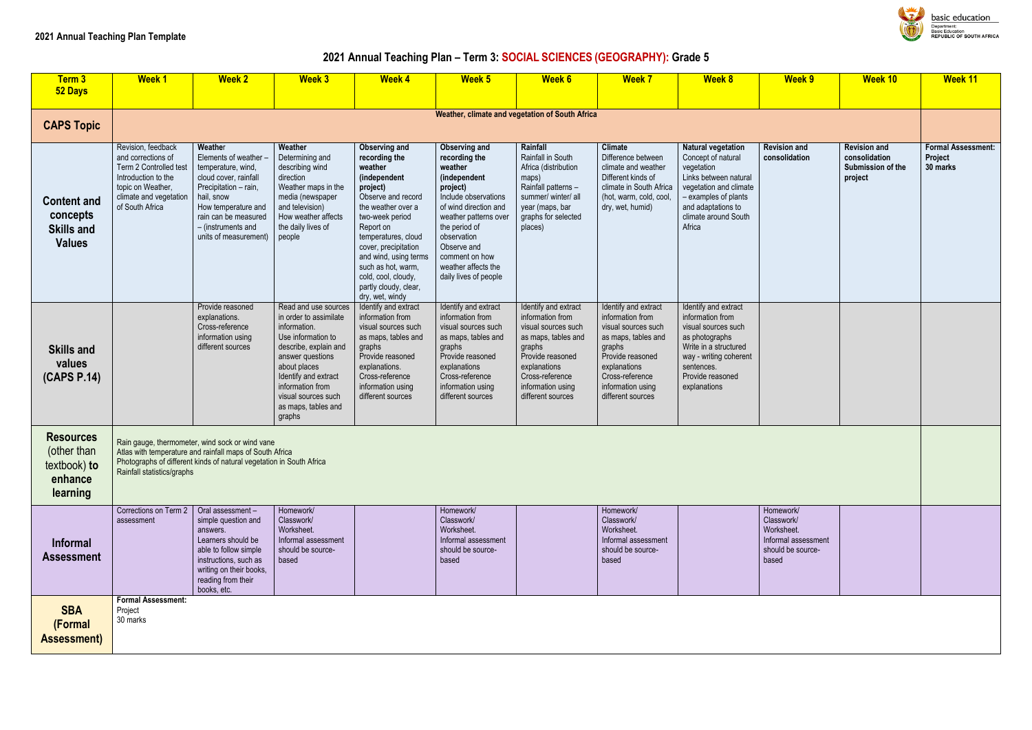# **2021 Annual Teaching Plan – Term 3: SOCIAL SCIENCES (GEOGRAPHY): Grade 5**

| Term 3<br>52 Days                                                      | <b>Week1</b>                                                                                                                                                | <b>Week 2</b>                                                                                                                                                                                                        | <b>Week 3</b>                                                                                                                                                                                                                                         | <b>Week 4</b>                                                                                                                                                                                                                                                                                                      | Week 5                                                                                                                                                                                                                                                                  | <b>Week 6</b>                                                                                                                                                                                     | <b>Week 7</b>                                                                                                                                                                                     | <b>Week 8</b>                                                                                                                                                                                    | <b>Week 9</b>                                                                              | <b>Week 10</b>                                                       | <b>Week 11</b>                              |
|------------------------------------------------------------------------|-------------------------------------------------------------------------------------------------------------------------------------------------------------|----------------------------------------------------------------------------------------------------------------------------------------------------------------------------------------------------------------------|-------------------------------------------------------------------------------------------------------------------------------------------------------------------------------------------------------------------------------------------------------|--------------------------------------------------------------------------------------------------------------------------------------------------------------------------------------------------------------------------------------------------------------------------------------------------------------------|-------------------------------------------------------------------------------------------------------------------------------------------------------------------------------------------------------------------------------------------------------------------------|---------------------------------------------------------------------------------------------------------------------------------------------------------------------------------------------------|---------------------------------------------------------------------------------------------------------------------------------------------------------------------------------------------------|--------------------------------------------------------------------------------------------------------------------------------------------------------------------------------------------------|--------------------------------------------------------------------------------------------|----------------------------------------------------------------------|---------------------------------------------|
|                                                                        |                                                                                                                                                             |                                                                                                                                                                                                                      |                                                                                                                                                                                                                                                       |                                                                                                                                                                                                                                                                                                                    |                                                                                                                                                                                                                                                                         |                                                                                                                                                                                                   |                                                                                                                                                                                                   |                                                                                                                                                                                                  |                                                                                            |                                                                      |                                             |
| <b>CAPS Topic</b>                                                      |                                                                                                                                                             |                                                                                                                                                                                                                      |                                                                                                                                                                                                                                                       |                                                                                                                                                                                                                                                                                                                    |                                                                                                                                                                                                                                                                         | Weather, climate and vegetation of South Africa                                                                                                                                                   |                                                                                                                                                                                                   |                                                                                                                                                                                                  |                                                                                            |                                                                      |                                             |
| <b>Content and</b><br>concepts<br><b>Skills and</b><br><b>Values</b>   | Revision, feedback<br>and corrections of<br>Term 2 Controlled test<br>Introduction to the<br>topic on Weather,<br>climate and vegetation<br>of South Africa | Weather<br>Elements of weather -<br>temperature, wind,<br>cloud cover, rainfall<br>Precipitation - rain,<br>hail, snow<br>How temperature and<br>rain can be measured<br>- (instruments and<br>units of measurement) | Weather<br>Determining and<br>describing wind<br>direction<br>Weather maps in the<br>media (newspaper<br>and television)<br>How weather affects<br>the daily lives of<br>people                                                                       | Observing and<br>recording the<br>weather<br>(independent<br>project)<br>Observe and record<br>the weather over a<br>two-week period<br>Report on<br>temperatures, cloud<br>cover, precipitation<br>and wind, using terms<br>such as hot, warm,<br>cold, cool, cloudy,<br>partly cloudy, clear,<br>dry, wet, windy | <b>Observing and</b><br>recording the<br>weather<br>(independent<br>project)<br>Include observations<br>of wind direction and<br>weather patterns over<br>the period of<br>observation<br>Observe and<br>comment on how<br>weather affects the<br>daily lives of people | Rainfall<br>Rainfall in South<br>Africa (distribution<br>maps)<br>Rainfall patterns -<br>summer/ winter/ all<br>year (maps, bar<br>graphs for selected<br>places)                                 | <b>Climate</b><br>Difference between<br>climate and weather<br>Different kinds of<br>climate in South Africa<br>(hot, warm, cold, cool,<br>dry, wet, humid)                                       | <b>Natural vegetation</b><br>Concept of natural<br>vegetation<br>Links between natural<br>vegetation and climate<br>- examples of plants<br>and adaptations to<br>climate around South<br>Africa | <b>Revision and</b><br>consolidation                                                       | <b>Revision and</b><br>consolidation<br>Submission of the<br>project | <b>Formal Assess</b><br>Project<br>30 marks |
| <b>Skills and</b><br>values<br>(CAPS P.14)                             |                                                                                                                                                             | Provide reasoned<br>explanations.<br>Cross-reference<br>information using<br>different sources                                                                                                                       | Read and use sources<br>in order to assimilate<br>information.<br>Use information to<br>describe, explain and<br>answer questions<br>about places<br>Identify and extract<br>information from<br>visual sources such<br>as maps, tables and<br>graphs | Identify and extract<br>information from<br>visual sources such<br>as maps, tables and<br>graphs<br>Provide reasoned<br>explanations.<br>Cross-reference<br>information using<br>different sources                                                                                                                 | Identify and extract<br>information from<br>visual sources such<br>as maps, tables and<br>graphs<br>Provide reasoned<br>explanations<br>Cross-reference<br>information using<br>different sources                                                                       | Identify and extract<br>information from<br>visual sources such<br>as maps, tables and<br>graphs<br>Provide reasoned<br>explanations<br>Cross-reference<br>information using<br>different sources | Identify and extract<br>information from<br>visual sources such<br>as maps, tables and<br>graphs<br>Provide reasoned<br>explanations<br>Cross-reference<br>information using<br>different sources | Identify and extract<br>information from<br>visual sources such<br>as photographs<br>Write in a structured<br>way - writing coherent<br>sentences.<br>Provide reasoned<br>explanations           |                                                                                            |                                                                      |                                             |
| <b>Resources</b><br>(other than<br>textbook) to<br>enhance<br>learning | Rainfall statistics/graphs                                                                                                                                  | Rain gauge, thermometer, wind sock or wind vane<br>Atlas with temperature and rainfall maps of South Africa<br>Photographs of different kinds of natural vegetation in South Africa                                  |                                                                                                                                                                                                                                                       |                                                                                                                                                                                                                                                                                                                    |                                                                                                                                                                                                                                                                         |                                                                                                                                                                                                   |                                                                                                                                                                                                   |                                                                                                                                                                                                  |                                                                                            |                                                                      |                                             |
| <b>Informal</b><br><b>Assessment</b>                                   | Corrections on Term 2<br>assessment                                                                                                                         | $\vert$ Oral assessment –<br>simple question and<br>answers.<br>Learners should be<br>able to follow simple<br>instructions, such as<br>writing on their books,<br>reading from their<br>books, etc.                 | Homework/<br>Classwork/<br>Worksheet.<br>Informal assessment<br>should be source-<br>based                                                                                                                                                            |                                                                                                                                                                                                                                                                                                                    | Homework/<br>Classwork/<br>Worksheet.<br>Informal assessment<br>should be source-<br>based                                                                                                                                                                              |                                                                                                                                                                                                   | Homework/<br>Classwork/<br>Worksheet.<br>Informal assessment<br>should be source-<br>based                                                                                                        |                                                                                                                                                                                                  | Homework/<br>Classwork/<br>Worksheet.<br>Informal assessment<br>should be source-<br>based |                                                                      |                                             |
| <b>SBA</b><br>(Formal<br><b>Assessment)</b>                            | <b>Formal Assessment:</b><br>Project<br>30 marks                                                                                                            |                                                                                                                                                                                                                      |                                                                                                                                                                                                                                                       |                                                                                                                                                                                                                                                                                                                    |                                                                                                                                                                                                                                                                         |                                                                                                                                                                                                   |                                                                                                                                                                                                   |                                                                                                                                                                                                  |                                                                                            |                                                                      |                                             |



basic education Department:<br>Department:<br>Basic Education<br>REPUBLIC OF SOUTH AFRICA

| <b>Week 9</b>                                                                              | Week 10                                                              | Week 11                                          |
|--------------------------------------------------------------------------------------------|----------------------------------------------------------------------|--------------------------------------------------|
|                                                                                            |                                                                      |                                                  |
| <b>Revision and</b><br>consolidation                                                       | <b>Revision and</b><br>consolidation<br>Submission of the<br>project | <b>Formal Assessment:</b><br>Project<br>30 marks |
|                                                                                            |                                                                      |                                                  |
|                                                                                            |                                                                      |                                                  |
| Homework/<br>Classwork/<br>Worksheet.<br>Informal assessment<br>should be source-<br>based |                                                                      |                                                  |
|                                                                                            |                                                                      |                                                  |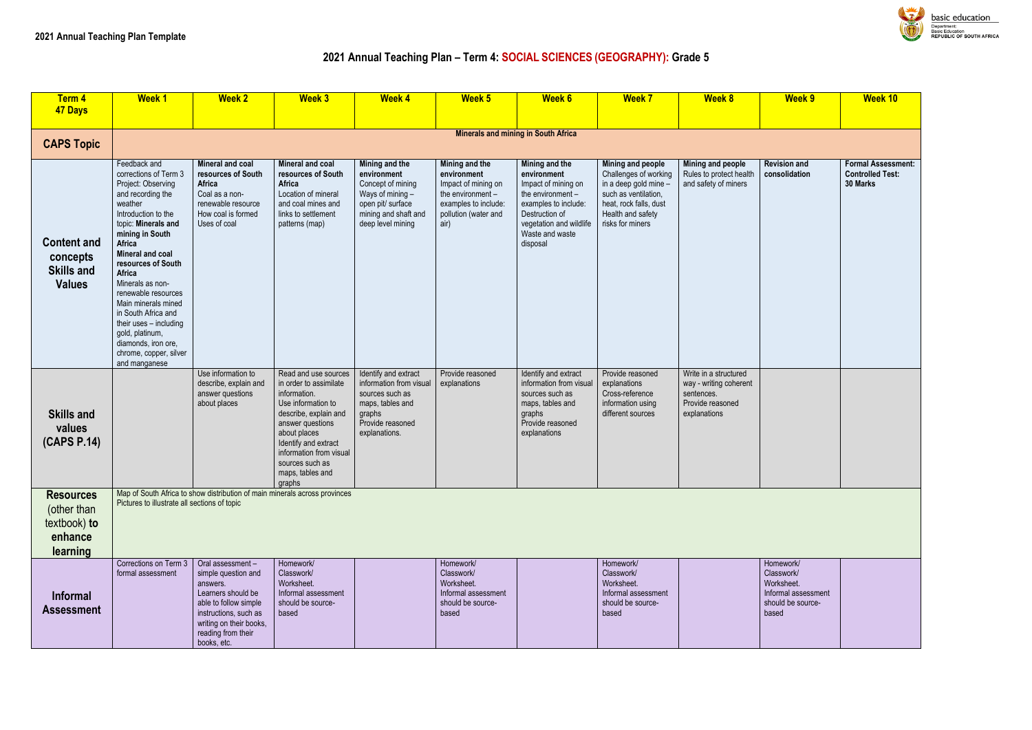### **2021 Annual Teaching Plan – Term 4: SOCIAL SCIENCES (GEOGRAPHY): Grade 5**

| Term 4<br><b>47 Days</b>                                               | <b>Week1</b>                                                                                                                                                                                                                                                                                                                                                                                                                       | <b>Week 2</b>                                                                                                                                                                               | <b>Week 3</b>                                                                                                                                                                                                                                         | <b>Week 4</b>                                                                                                                            | Week 5                                                                                                                            | Week 6                                                                                                                                                                        | <b>Week 7</b>                                                                                                                                                  | <b>Week 8</b>                                                                                     | <b>Week 9</b>                                                                              | <b>Week 10</b>                                             |
|------------------------------------------------------------------------|------------------------------------------------------------------------------------------------------------------------------------------------------------------------------------------------------------------------------------------------------------------------------------------------------------------------------------------------------------------------------------------------------------------------------------|---------------------------------------------------------------------------------------------------------------------------------------------------------------------------------------------|-------------------------------------------------------------------------------------------------------------------------------------------------------------------------------------------------------------------------------------------------------|------------------------------------------------------------------------------------------------------------------------------------------|-----------------------------------------------------------------------------------------------------------------------------------|-------------------------------------------------------------------------------------------------------------------------------------------------------------------------------|----------------------------------------------------------------------------------------------------------------------------------------------------------------|---------------------------------------------------------------------------------------------------|--------------------------------------------------------------------------------------------|------------------------------------------------------------|
| <b>CAPS Topic</b>                                                      |                                                                                                                                                                                                                                                                                                                                                                                                                                    |                                                                                                                                                                                             |                                                                                                                                                                                                                                                       |                                                                                                                                          |                                                                                                                                   | <b>Minerals and mining in South Africa</b>                                                                                                                                    |                                                                                                                                                                |                                                                                                   |                                                                                            |                                                            |
| <b>Content and</b><br>concepts<br><b>Skills and</b><br><b>Values</b>   | Feedback and<br>corrections of Term 3<br>Project: Observing<br>and recording the<br>weather<br>Introduction to the<br>topic: Minerals and<br>mining in South<br>Africa<br>Mineral and coal<br>resources of South<br>Africa<br>Minerals as non-<br>renewable resources<br>Main minerals mined<br>in South Africa and<br>their uses - including<br>gold, platinum,<br>diamonds, iron ore,<br>chrome, copper, silver<br>and manganese | Mineral and coal<br>resources of South<br>Africa<br>Coal as a non-<br>renewable resource<br>How coal is formed<br>Uses of coal                                                              | Mineral and coal<br>resources of South<br>Africa<br>Location of mineral<br>and coal mines and<br>links to settlement<br>patterns (map)                                                                                                                | Mining and the<br>environment<br>Concept of mining<br>Ways of mining -<br>open pit/ surface<br>mining and shaft and<br>deep level mining | Mining and the<br>environment<br>Impact of mining on<br>the environment -<br>examples to include:<br>pollution (water and<br>air) | Mining and the<br>environment<br>Impact of mining on<br>the environment -<br>examples to include:<br>Destruction of<br>vegetation and wildlife<br>Waste and waste<br>disposal | Mining and people<br>Challenges of working<br>in a deep gold mine -<br>such as ventilation,<br>heat, rock falls, dust<br>Health and safety<br>risks for miners | Mining and people<br>Rules to protect health<br>and safety of miners                              | <b>Revision and</b><br>consolidation                                                       | <b>Formal Assess</b><br><b>Controlled Test</b><br>30 Marks |
| <b>Skills and</b><br>values<br>(CAPS P.14)                             |                                                                                                                                                                                                                                                                                                                                                                                                                                    | Use information to<br>describe, explain and<br>answer questions<br>about places                                                                                                             | Read and use sources<br>in order to assimilate<br>information.<br>Use information to<br>describe, explain and<br>answer questions<br>about places<br>Identify and extract<br>information from visual<br>sources such as<br>maps, tables and<br>graphs | Identify and extract<br>information from visual<br>sources such as<br>maps, tables and<br>graphs<br>Provide reasoned<br>explanations.    | Provide reasoned<br>explanations                                                                                                  | Identify and extract<br>information from visual<br>sources such as<br>maps, tables and<br>graphs<br>Provide reasoned<br>explanations                                          | Provide reasoned<br>explanations<br>Cross-reference<br>information using<br>different sources                                                                  | Write in a structured<br>way - writing coherent<br>sentences.<br>Provide reasoned<br>explanations |                                                                                            |                                                            |
| <b>Resources</b><br>(other than<br>textbook) to<br>enhance<br>learning | Pictures to illustrate all sections of topic                                                                                                                                                                                                                                                                                                                                                                                       | Map of South Africa to show distribution of main minerals across provinces                                                                                                                  |                                                                                                                                                                                                                                                       |                                                                                                                                          |                                                                                                                                   |                                                                                                                                                                               |                                                                                                                                                                |                                                                                                   |                                                                                            |                                                            |
| <b>Informal</b><br><b>Assessment</b>                                   | Corrections on Term 3<br>formal assessment                                                                                                                                                                                                                                                                                                                                                                                         | Oral assessment-<br>simple question and<br>answers.<br>Learners should be<br>able to follow simple<br>instructions, such as<br>writing on their books,<br>reading from their<br>books, etc. | Homework/<br>Classwork/<br>Worksheet.<br>Informal assessment<br>should be source-<br>based                                                                                                                                                            |                                                                                                                                          | Homework/<br>Classwork/<br>Worksheet.<br>Informal assessment<br>should be source-<br>based                                        |                                                                                                                                                                               | Homework/<br>Classwork/<br>Worksheet.<br>Informal assessment<br>should be source-<br>based                                                                     |                                                                                                   | Homework/<br>Classwork/<br>Worksheet.<br>Informal assessment<br>should be source-<br>based |                                                            |



basic education Department:<br>Basic Education<br>REPUBLIC OF SOUTH AFRICA

| Week 9                                                                                     | Week 10                                                          |
|--------------------------------------------------------------------------------------------|------------------------------------------------------------------|
|                                                                                            |                                                                  |
| <b>Revision and</b><br>consolidation                                                       | <b>Formal Assessment:</b><br><b>Controlled Test:</b><br>30 Marks |
|                                                                                            |                                                                  |
|                                                                                            |                                                                  |
| Homework/<br>Classwork/<br>Worksheet.<br>Informal assessment<br>should be source-<br>based |                                                                  |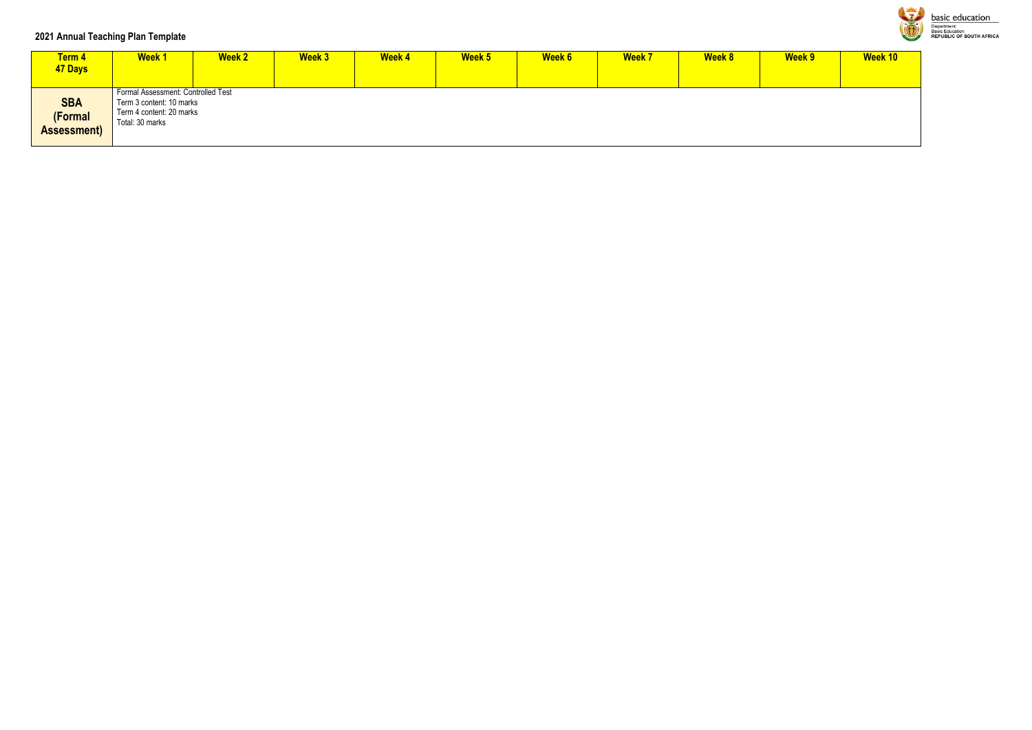### **2021 Annual Teaching Plan Template**

| <b>Term 4</b><br>47 Days             | <b>Week1</b>                                                                                                  | <b>Week 2</b> | <b>Week 3</b> | <b>Week 4</b> | Week 5 | Week 6 | <b>Week 7</b> | <b>Week 8</b> | Week 9 | Week 10 |
|--------------------------------------|---------------------------------------------------------------------------------------------------------------|---------------|---------------|---------------|--------|--------|---------------|---------------|--------|---------|
| <b>SBA</b><br>(Formal<br>Assessment) | Formal Assessment: Controlled Test<br>Term 3 content: 10 marks<br>Term 4 content: 20 marks<br>Total: 30 marks |               |               |               |        |        |               |               |        |         |



**basic education**<br> **Department:**<br> **Basic Education**<br>
REPUBLIC OF SOUTH AFRICA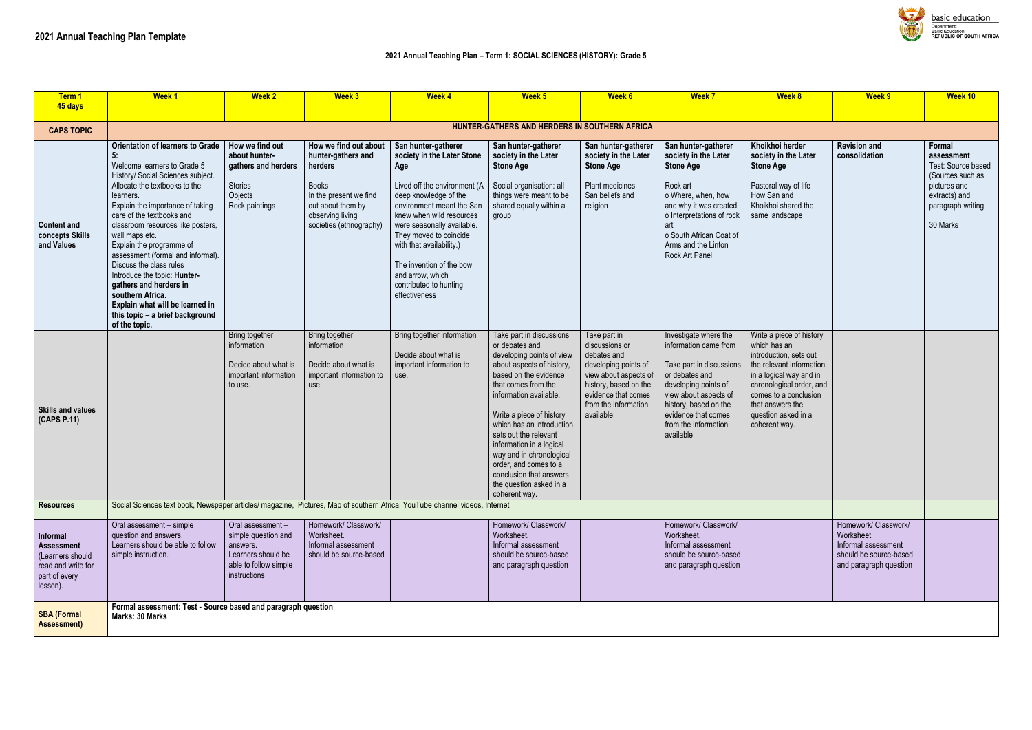| Term 1<br>45 days                                                                                    | <b>Week1</b>                                                                                                                                                                                                                                                                                                                                                                                                                                                                                                                                             | <b>Week 2</b>                                                                                                      | <b>Week 3</b>                                                                                                                                                        | <b>Week 4</b>                                                                                                                                                                                                                                                                                                                                             | Week <sub>5</sub>                                                                                                                                                                                                                                                                                                                                                                                                         | <b>Week 6</b>                                                                                                                                                                        | <b>Week 7</b>                                                                                                                                                                                                                       | <b>Week 8</b>                                                                                                                                                                                                                              | Week 9                                                                                                        | Week 10                                                                                                                          |
|------------------------------------------------------------------------------------------------------|----------------------------------------------------------------------------------------------------------------------------------------------------------------------------------------------------------------------------------------------------------------------------------------------------------------------------------------------------------------------------------------------------------------------------------------------------------------------------------------------------------------------------------------------------------|--------------------------------------------------------------------------------------------------------------------|----------------------------------------------------------------------------------------------------------------------------------------------------------------------|-----------------------------------------------------------------------------------------------------------------------------------------------------------------------------------------------------------------------------------------------------------------------------------------------------------------------------------------------------------|---------------------------------------------------------------------------------------------------------------------------------------------------------------------------------------------------------------------------------------------------------------------------------------------------------------------------------------------------------------------------------------------------------------------------|--------------------------------------------------------------------------------------------------------------------------------------------------------------------------------------|-------------------------------------------------------------------------------------------------------------------------------------------------------------------------------------------------------------------------------------|--------------------------------------------------------------------------------------------------------------------------------------------------------------------------------------------------------------------------------------------|---------------------------------------------------------------------------------------------------------------|----------------------------------------------------------------------------------------------------------------------------------|
| <b>CAPS TOPIC</b>                                                                                    |                                                                                                                                                                                                                                                                                                                                                                                                                                                                                                                                                          |                                                                                                                    |                                                                                                                                                                      |                                                                                                                                                                                                                                                                                                                                                           | HUNTER-GATHERS AND HERDERS IN SOUTHERN AFRICA                                                                                                                                                                                                                                                                                                                                                                             |                                                                                                                                                                                      |                                                                                                                                                                                                                                     |                                                                                                                                                                                                                                            |                                                                                                               |                                                                                                                                  |
| <b>Content and</b><br>concepts Skills<br>and Values                                                  | <b>Orientation of learners to Grade</b><br>5:<br>Welcome learners to Grade 5<br>History/ Social Sciences subject.<br>Allocate the textbooks to the<br>learners.<br>Explain the importance of taking<br>care of the textbooks and<br>classroom resources like posters,<br>wall maps etc.<br>Explain the programme of<br>assessment (formal and informal).<br>Discuss the class rules<br>Introduce the topic: Hunter-<br>gathers and herders in<br>southern Africa.<br>Explain what will be learned in<br>this topic - a brief background<br>of the topic. | How we find out<br>about hunter-<br>gathers and herders<br>Stories<br>Objects<br>Rock paintings                    | How we find out about<br>hunter-gathers and<br>herders<br><b>Books</b><br>In the present we find<br>out about them by<br>observing living<br>societies (ethnography) | San hunter-gatherer<br>society in the Later Stone<br>Age<br>Lived off the environment (A<br>deep knowledge of the<br>environment meant the San<br>knew when wild resources<br>were seasonally available.<br>They moved to coincide<br>with that availability.)<br>The invention of the bow<br>and arrow, which<br>contributed to hunting<br>effectiveness | San hunter-gatherer<br>society in the Later<br><b>Stone Age</b><br>Social organisation: all<br>things were meant to be<br>shared equally within a<br>group                                                                                                                                                                                                                                                                | San hunter-gatherer<br>society in the Later<br><b>Stone Age</b><br>Plant medicines<br>San beliefs and<br>religion                                                                    | San hunter-gatherer<br>society in the Later<br><b>Stone Age</b><br>Rock art<br>o Where, when, how<br>and why it was created<br>o Interpretations of rock<br>art<br>o South African Coat of<br>Arms and the Linton<br>Rock Art Panel | Khoikhoi herder<br>society in the Later<br><b>Stone Age</b><br>Pastoral way of life<br>How San and<br>Khoikhoi shared the<br>same landscape                                                                                                | <b>Revision and</b><br>consolidation                                                                          | Formal<br>assessment<br>Test: Source based<br>(Sources such as<br>pictures and<br>extracts) and<br>paragraph writing<br>30 Marks |
| <b>Skills and values</b><br>(CAPS P.11)                                                              |                                                                                                                                                                                                                                                                                                                                                                                                                                                                                                                                                          | Bring together<br>information<br>Decide about what is<br>important information<br>to use.                          | Bring together<br>information<br>Decide about what is<br>important information to<br>use.                                                                            | Bring together information<br>Decide about what is<br>important information to<br>use.                                                                                                                                                                                                                                                                    | Take part in discussions<br>or debates and<br>developing points of view<br>about aspects of history,<br>based on the evidence<br>that comes from the<br>information available.<br>Write a piece of history<br>which has an introduction,<br>sets out the relevant<br>information in a logical<br>way and in chronological<br>order, and comes to a<br>conclusion that answers<br>the question asked in a<br>coherent way. | Take part in<br>discussions or<br>debates and<br>developing points of<br>view about aspects of<br>history, based on the<br>evidence that comes<br>from the information<br>available. | Investigate where the<br>information came from<br>Take part in discussions<br>or debates and<br>developing points of<br>view about aspects of<br>history, based on the<br>evidence that comes<br>from the information<br>available. | Write a piece of history<br>which has an<br>introduction, sets out<br>the relevant information<br>in a logical way and in<br>chronological order, and<br>comes to a conclusion<br>that answers the<br>question asked in a<br>coherent way. |                                                                                                               |                                                                                                                                  |
| <b>Resources</b>                                                                                     | Social Sciences text book, Newspaper articles/ magazine, Pictures, Map of southern Africa, YouTube channel videos, Internet                                                                                                                                                                                                                                                                                                                                                                                                                              |                                                                                                                    |                                                                                                                                                                      |                                                                                                                                                                                                                                                                                                                                                           |                                                                                                                                                                                                                                                                                                                                                                                                                           |                                                                                                                                                                                      |                                                                                                                                                                                                                                     |                                                                                                                                                                                                                                            |                                                                                                               |                                                                                                                                  |
| Informal<br><b>Assessment</b><br>(Learners should<br>read and write for<br>part of every<br>lesson). | Oral assessment - simple<br>question and answers.<br>Learners should be able to follow<br>simple instruction.                                                                                                                                                                                                                                                                                                                                                                                                                                            | Oral assessment-<br>simple question and<br>answers.<br>Learners should be<br>able to follow simple<br>instructions | Homework/ Classwork/<br>Worksheet.<br>Informal assessment<br>should be source-based                                                                                  |                                                                                                                                                                                                                                                                                                                                                           | Homework/ Classwork/<br>Worksheet.<br>Informal assessment<br>should be source-based<br>and paragraph question                                                                                                                                                                                                                                                                                                             |                                                                                                                                                                                      | Homework/ Classwork/<br>Worksheet.<br>Informal assessment<br>should be source-based<br>and paragraph question                                                                                                                       |                                                                                                                                                                                                                                            | Homework/ Classwork/<br>Worksheet.<br>Informal assessment<br>should be source-based<br>and paragraph question |                                                                                                                                  |
| <b>SBA (Formal</b><br><b>Assessment)</b>                                                             | Formal assessment: Test - Source based and paragraph question<br>Marks: 30 Marks                                                                                                                                                                                                                                                                                                                                                                                                                                                                         |                                                                                                                    |                                                                                                                                                                      |                                                                                                                                                                                                                                                                                                                                                           |                                                                                                                                                                                                                                                                                                                                                                                                                           |                                                                                                                                                                                      |                                                                                                                                                                                                                                     |                                                                                                                                                                                                                                            |                                                                                                               |                                                                                                                                  |

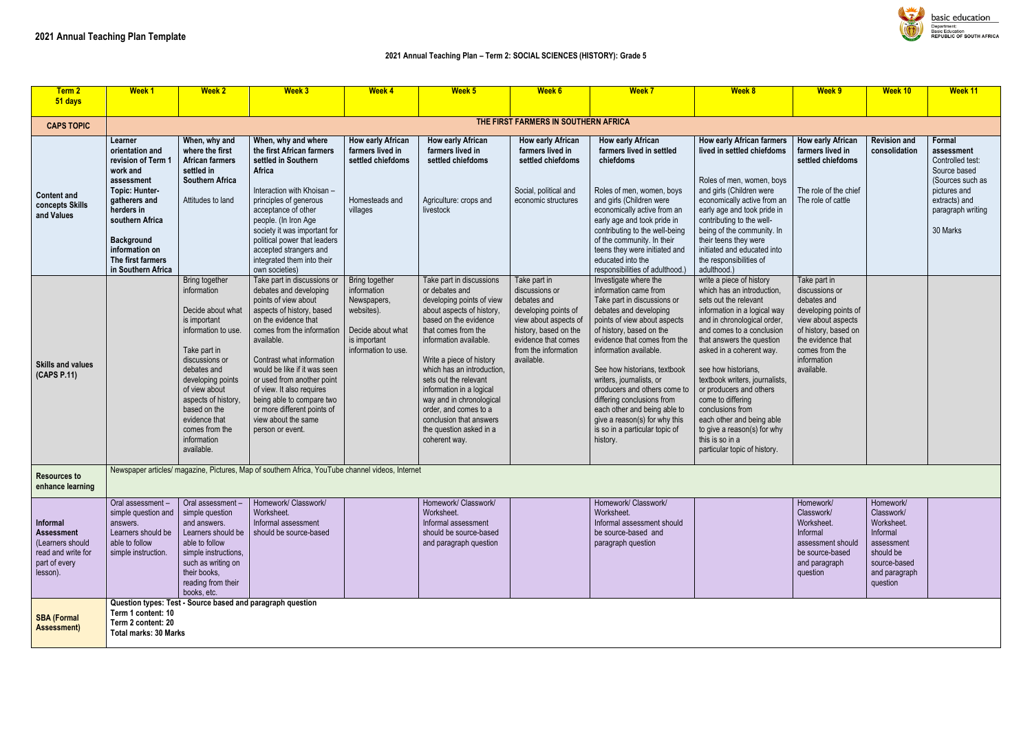#### **2021 Annual Teaching Plan – Term 2: SOCIAL SCIENCES (HISTORY): Grade 5**

| Term 2<br>51 days                                                                                    | <b>Week1</b>                                                                                                                                                                                                                            | <b>Week 2</b>                                                                                                                                                                                                                                                                           | <b>Week 3</b>                                                                                                                                                                                                                                                                                                                                                                                                 | <b>Week 4</b>                                                                                                          | Week 5                                                                                                                                                                                                                                                                                                                                                                                                                    | <b>Week 6</b>                                                                                                                                                                        | <b>Week 7</b>                                                                                                                                                                                                                                                                                                                                                                                                                                                          | <b>Week 8</b>                                                                                                                                                                                                                                                                                                                                                                                                                                                                    | Week 9                                                                                                                                                                                  | <b>Week 10</b>                                                                                                            | <b>Week 11</b>                                                                                                                                 |
|------------------------------------------------------------------------------------------------------|-----------------------------------------------------------------------------------------------------------------------------------------------------------------------------------------------------------------------------------------|-----------------------------------------------------------------------------------------------------------------------------------------------------------------------------------------------------------------------------------------------------------------------------------------|---------------------------------------------------------------------------------------------------------------------------------------------------------------------------------------------------------------------------------------------------------------------------------------------------------------------------------------------------------------------------------------------------------------|------------------------------------------------------------------------------------------------------------------------|---------------------------------------------------------------------------------------------------------------------------------------------------------------------------------------------------------------------------------------------------------------------------------------------------------------------------------------------------------------------------------------------------------------------------|--------------------------------------------------------------------------------------------------------------------------------------------------------------------------------------|------------------------------------------------------------------------------------------------------------------------------------------------------------------------------------------------------------------------------------------------------------------------------------------------------------------------------------------------------------------------------------------------------------------------------------------------------------------------|----------------------------------------------------------------------------------------------------------------------------------------------------------------------------------------------------------------------------------------------------------------------------------------------------------------------------------------------------------------------------------------------------------------------------------------------------------------------------------|-----------------------------------------------------------------------------------------------------------------------------------------------------------------------------------------|---------------------------------------------------------------------------------------------------------------------------|------------------------------------------------------------------------------------------------------------------------------------------------|
| <b>CAPS TOPIC</b>                                                                                    |                                                                                                                                                                                                                                         |                                                                                                                                                                                                                                                                                         |                                                                                                                                                                                                                                                                                                                                                                                                               |                                                                                                                        |                                                                                                                                                                                                                                                                                                                                                                                                                           | THE FIRST FARMERS IN SOUTHERN AFRICA                                                                                                                                                 |                                                                                                                                                                                                                                                                                                                                                                                                                                                                        |                                                                                                                                                                                                                                                                                                                                                                                                                                                                                  |                                                                                                                                                                                         |                                                                                                                           |                                                                                                                                                |
| <b>Content and</b><br>concepts Skills<br>and Values                                                  | Learner<br>orientation and<br>revision of Term 1<br>work and<br>assessment<br><b>Topic: Hunter-</b><br>gatherers and<br>herders in<br>southern Africa<br><b>Background</b><br>information on<br>The first farmers<br>in Southern Africa | When, why and<br>where the first<br><b>African farmers</b><br>settled in<br><b>Southern Africa</b><br>Attitudes to land                                                                                                                                                                 | When, why and where<br>the first African farmers<br>settled in Southern<br>Africa<br>Interaction with Khoisan -<br>principles of generous<br>acceptance of other<br>people. (In Iron Age<br>society it was important for<br>political power that leaders<br>accepted strangers and<br>integrated them into their<br>own societies)                                                                            | How early African<br>farmers lived in<br>settled chiefdoms<br>Homesteads and<br>villages                               | <b>How early African</b><br>farmers lived in<br>settled chiefdoms<br>Agriculture: crops and<br>livestock                                                                                                                                                                                                                                                                                                                  | <b>How early African</b><br>farmers lived in<br>settled chiefdoms<br>Social, political and<br>economic structures                                                                    | <b>How early African</b><br>farmers lived in settled<br>chiefdoms<br>Roles of men, women, boys<br>and girls (Children were<br>economically active from an<br>early age and took pride in<br>contributing to the well-being<br>of the community. In their<br>teens they were initiated and<br>educated into the<br>responsibilities of adulthood.)                                                                                                                      | <b>How early African farmers</b><br>lived in settled chiefdoms<br>Roles of men, women, boys<br>and girls (Children were<br>economically active from an<br>early age and took pride in<br>contributing to the well-<br>being of the community. In<br>their teens they were<br>initiated and educated into<br>the responsibilities of<br>adulthood.)                                                                                                                               | <b>How early African</b><br>farmers lived in<br>settled chiefdoms<br>The role of the chief<br>The role of cattle                                                                        | <b>Revision and</b><br>consolidation                                                                                      | Formal<br>assessment<br>Controlled test:<br>Source based<br>(Sources such as<br>pictures and<br>extracts) and<br>paragraph writing<br>30 Marks |
| <b>Skills and values</b><br>(CAPS P.11)                                                              |                                                                                                                                                                                                                                         | Bring together<br>information<br>Decide about what<br>is important<br>information to use.<br>Take part in<br>discussions or<br>debates and<br>developing points<br>of view about<br>aspects of history,<br>based on the<br>evidence that<br>comes from the<br>information<br>available. | Take part in discussions or<br>debates and developing<br>points of view about<br>aspects of history, based<br>on the evidence that<br>comes from the information<br>available.<br>Contrast what information<br>would be like if it was seen<br>or used from another point<br>of view. It also requires<br>being able to compare two<br>or more different points of<br>view about the same<br>person or event. | Bring together<br>information<br>Newspapers,<br>websites).<br>Decide about what<br>is important<br>information to use. | Take part in discussions<br>or debates and<br>developing points of view<br>about aspects of history,<br>based on the evidence<br>that comes from the<br>information available.<br>Write a piece of history<br>which has an introduction,<br>sets out the relevant<br>information in a logical<br>way and in chronological<br>order, and comes to a<br>conclusion that answers<br>the question asked in a<br>coherent way. | Take part in<br>discussions or<br>debates and<br>developing points of<br>view about aspects of<br>history, based on the<br>evidence that comes<br>from the information<br>available. | Investigate where the<br>information came from<br>Take part in discussions or<br>debates and developing<br>points of view about aspects<br>of history, based on the<br>evidence that comes from the<br>information available.<br>See how historians, textbook<br>writers, journalists, or<br>producers and others come to<br>differing conclusions from<br>each other and being able to<br>give a reason(s) for why this<br>is so in a particular topic of<br>history. | write a piece of history<br>which has an introduction,<br>sets out the relevant<br>information in a logical way<br>and in chronological order,<br>and comes to a conclusion<br>that answers the question<br>asked in a coherent way.<br>see how historians,<br>textbook writers, journalists,<br>or producers and others<br>come to differing<br>conclusions from<br>each other and being able<br>to give a reason(s) for why<br>this is so in a<br>particular topic of history. | Take part in<br>discussions or<br>debates and<br>developing points of<br>view about aspects<br>of history, based on<br>the evidence that<br>comes from the<br>information<br>available. |                                                                                                                           |                                                                                                                                                |
| <b>Resources to</b><br>enhance learning                                                              |                                                                                                                                                                                                                                         |                                                                                                                                                                                                                                                                                         | Newspaper articles/ magazine, Pictures, Map of southern Africa, YouTube channel videos, Internet                                                                                                                                                                                                                                                                                                              |                                                                                                                        |                                                                                                                                                                                                                                                                                                                                                                                                                           |                                                                                                                                                                                      |                                                                                                                                                                                                                                                                                                                                                                                                                                                                        |                                                                                                                                                                                                                                                                                                                                                                                                                                                                                  |                                                                                                                                                                                         |                                                                                                                           |                                                                                                                                                |
| Informal<br><b>Assessment</b><br>(Learners should<br>read and write for<br>part of every<br>lesson). | Oral assessment-<br>simple question and<br>answers.<br>Learners should be<br>able to follow<br>simple instruction.                                                                                                                      | Oral assessment -<br>simple question<br>and answers.<br>Learners should be<br>able to follow<br>simple instructions,<br>such as writing on<br>their books,<br>reading from their<br>books, etc.                                                                                         | Homework/ Classwork/<br>Worksheet.<br>Informal assessment<br>should be source-based                                                                                                                                                                                                                                                                                                                           |                                                                                                                        | Homework/ Classwork/<br>Worksheet.<br>Informal assessment<br>should be source-based<br>and paragraph question                                                                                                                                                                                                                                                                                                             |                                                                                                                                                                                      | Homework/ Classwork/<br>Worksheet.<br>Informal assessment should<br>be source-based and<br>paragraph question                                                                                                                                                                                                                                                                                                                                                          |                                                                                                                                                                                                                                                                                                                                                                                                                                                                                  | Homework/<br>Classwork/<br>Worksheet.<br>Informal<br>assessment should<br>be source-based<br>and paragraph<br>question                                                                  | Homework/<br>Classwork/<br>Worksheet.<br>Informal<br>assessment<br>should be<br>source-based<br>and paragraph<br>question |                                                                                                                                                |
| <b>SBA (Formal</b><br><b>Assessment)</b>                                                             | Term 1 content: 10<br>Term 2 content: 20<br><b>Total marks: 30 Marks</b>                                                                                                                                                                | Question types: Test - Source based and paragraph question                                                                                                                                                                                                                              |                                                                                                                                                                                                                                                                                                                                                                                                               |                                                                                                                        |                                                                                                                                                                                                                                                                                                                                                                                                                           |                                                                                                                                                                                      |                                                                                                                                                                                                                                                                                                                                                                                                                                                                        |                                                                                                                                                                                                                                                                                                                                                                                                                                                                                  |                                                                                                                                                                                         |                                                                                                                           |                                                                                                                                                |

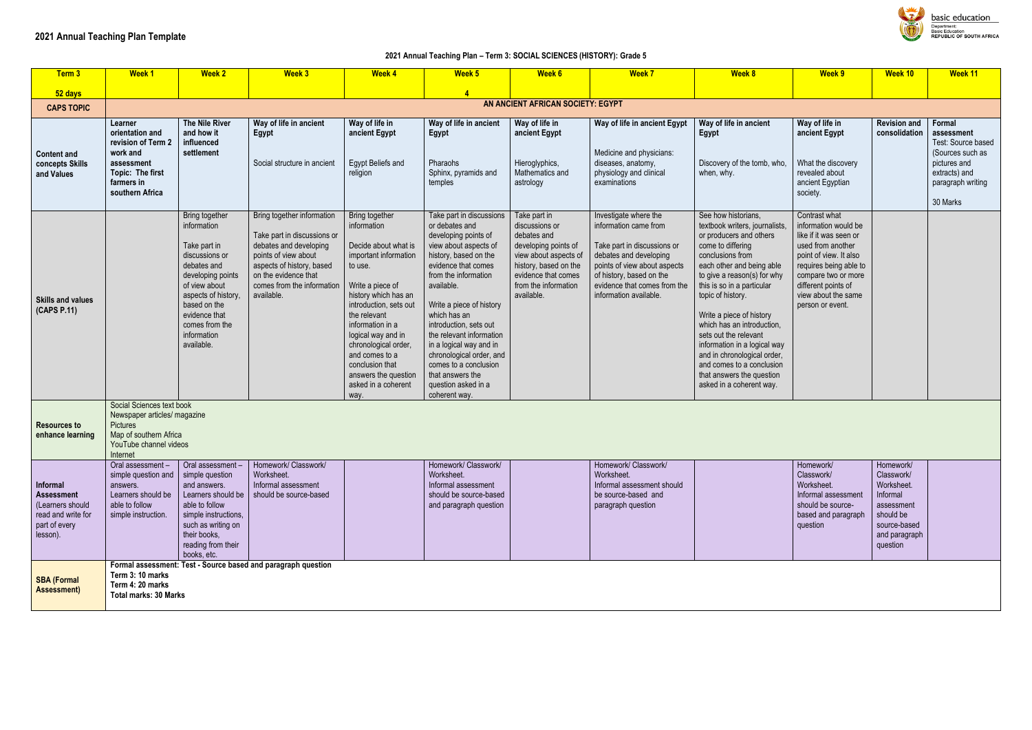#### **2021 Annual Teaching Plan – Term 3: SOCIAL SCIENCES (HISTORY): Grade 5**

| Term 3                                                                                               | <b>Week 1</b>                                                                                                                                | <b>Week 2</b>                                                                                                                                                                                                               | <b>Week 3</b>                                                                                                                                                                                                | <b>Week 4</b>                                                                                                                                                                                                                                                                                                                                 | Week 5                                                                                                                                                                                                                                                                                                                                                                                                                          | <b>Week 6</b>                                                                                                                                                                        | <b>Week 7</b>                                                                                                                                                                                                                 | <b>Week 8</b>                                                                                                                                                                                                                                                                                                                                                                                                                                                                    | Week 9                                                                                                                                                                                                                            | Week 10                                                                                                                   | Week 11                                                                                                                          |
|------------------------------------------------------------------------------------------------------|----------------------------------------------------------------------------------------------------------------------------------------------|-----------------------------------------------------------------------------------------------------------------------------------------------------------------------------------------------------------------------------|--------------------------------------------------------------------------------------------------------------------------------------------------------------------------------------------------------------|-----------------------------------------------------------------------------------------------------------------------------------------------------------------------------------------------------------------------------------------------------------------------------------------------------------------------------------------------|---------------------------------------------------------------------------------------------------------------------------------------------------------------------------------------------------------------------------------------------------------------------------------------------------------------------------------------------------------------------------------------------------------------------------------|--------------------------------------------------------------------------------------------------------------------------------------------------------------------------------------|-------------------------------------------------------------------------------------------------------------------------------------------------------------------------------------------------------------------------------|----------------------------------------------------------------------------------------------------------------------------------------------------------------------------------------------------------------------------------------------------------------------------------------------------------------------------------------------------------------------------------------------------------------------------------------------------------------------------------|-----------------------------------------------------------------------------------------------------------------------------------------------------------------------------------------------------------------------------------|---------------------------------------------------------------------------------------------------------------------------|----------------------------------------------------------------------------------------------------------------------------------|
| 52 days                                                                                              |                                                                                                                                              |                                                                                                                                                                                                                             |                                                                                                                                                                                                              |                                                                                                                                                                                                                                                                                                                                               |                                                                                                                                                                                                                                                                                                                                                                                                                                 |                                                                                                                                                                                      |                                                                                                                                                                                                                               |                                                                                                                                                                                                                                                                                                                                                                                                                                                                                  |                                                                                                                                                                                                                                   |                                                                                                                           |                                                                                                                                  |
| <b>CAPS TOPIC</b>                                                                                    |                                                                                                                                              |                                                                                                                                                                                                                             |                                                                                                                                                                                                              |                                                                                                                                                                                                                                                                                                                                               |                                                                                                                                                                                                                                                                                                                                                                                                                                 | AN ANCIENT AFRICAN SOCIETY: EGYPT                                                                                                                                                    |                                                                                                                                                                                                                               |                                                                                                                                                                                                                                                                                                                                                                                                                                                                                  |                                                                                                                                                                                                                                   |                                                                                                                           |                                                                                                                                  |
| <b>Content and</b><br>concepts Skills<br>and Values                                                  | Learner<br>orientation and<br>revision of Term 2<br>work and<br>assessment<br>Topic: The first<br>farmers in<br>southern Africa              | The Nile River<br>and how it<br>influenced<br>settlement                                                                                                                                                                    | Way of life in ancient<br>Egypt<br>Social structure in ancient                                                                                                                                               | Way of life in<br>ancient Egypt<br>Egypt Beliefs and<br>religion                                                                                                                                                                                                                                                                              | Way of life in ancient<br>Egypt<br>Pharaohs<br>Sphinx, pyramids and<br>temples                                                                                                                                                                                                                                                                                                                                                  | Way of life in<br>ancient Egypt<br>Hieroglyphics,<br>Mathematics and<br>astrology                                                                                                    | Way of life in ancient Egypt<br>Medicine and physicians:<br>diseases, anatomy,<br>physiology and clinical<br>examinations                                                                                                     | Way of life in ancient<br>Egypt<br>Discovery of the tomb, who,<br>when, why.                                                                                                                                                                                                                                                                                                                                                                                                     | Way of life in<br>ancient Egypt<br>What the discovery<br>revealed about<br>ancient Egyptian<br>society.                                                                                                                           | <b>Revision and</b><br>consolidation                                                                                      | Formal<br>assessment<br>Test: Source based<br>(Sources such as<br>pictures and<br>extracts) and<br>paragraph writing<br>30 Marks |
| <b>Skills and values</b><br>(CAPS P.11)                                                              |                                                                                                                                              | Bring together<br>information<br>Take part in<br>discussions or<br>debates and<br>developing points<br>of view about<br>aspects of history,<br>based on the<br>evidence that<br>comes from the<br>information<br>available. | Bring together information<br>Take part in discussions or<br>debates and developing<br>points of view about<br>aspects of history, based<br>on the evidence that<br>comes from the information<br>available. | Bring together<br>information<br>Decide about what is<br>important information<br>to use.<br>Write a piece of<br>history which has an<br>introduction, sets out<br>the relevant<br>information in a<br>logical way and in<br>chronological order,<br>and comes to a<br>conclusion that<br>answers the question<br>asked in a coherent<br>way. | Take part in discussions<br>or debates and<br>developing points of<br>view about aspects of<br>history, based on the<br>evidence that comes<br>from the information<br>available.<br>Write a piece of history<br>which has an<br>introduction, sets out<br>the relevant information<br>in a logical way and in<br>chronological order, and<br>comes to a conclusion<br>that answers the<br>question asked in a<br>coherent way. | Take part in<br>discussions or<br>debates and<br>developing points of<br>view about aspects of<br>history, based on the<br>evidence that comes<br>from the information<br>available. | Investigate where the<br>information came from<br>Take part in discussions or<br>debates and developing<br>points of view about aspects<br>of history, based on the<br>evidence that comes from the<br>information available. | See how historians,<br>textbook writers, journalists,<br>or producers and others<br>come to differing<br>conclusions from<br>each other and being able<br>to give a reason(s) for why<br>this is so in a particular<br>topic of history.<br>Write a piece of history<br>which has an introduction.<br>sets out the relevant<br>information in a logical way<br>and in chronological order,<br>and comes to a conclusion<br>that answers the question<br>asked in a coherent way. | Contrast what<br>information would be<br>like if it was seen or<br>used from another<br>point of view. It also<br>requires being able to<br>compare two or more<br>different points of<br>view about the same<br>person or event. |                                                                                                                           |                                                                                                                                  |
| <b>Resources to</b><br>enhance learning                                                              | Social Sciences text book<br>Newspaper articles/ magazine<br><b>Pictures</b><br>Map of southern Africa<br>YouTube channel videos<br>Internet |                                                                                                                                                                                                                             |                                                                                                                                                                                                              |                                                                                                                                                                                                                                                                                                                                               |                                                                                                                                                                                                                                                                                                                                                                                                                                 |                                                                                                                                                                                      |                                                                                                                                                                                                                               |                                                                                                                                                                                                                                                                                                                                                                                                                                                                                  |                                                                                                                                                                                                                                   |                                                                                                                           |                                                                                                                                  |
| Informal<br><b>Assessment</b><br>(Learners should<br>read and write for<br>part of every<br>lesson). | Oral assessment -<br>simple question and<br>answers.<br>Learners should be<br>able to follow<br>simple instruction.                          | Oral assessment-<br>simple question<br>and answers.<br>able to follow<br>simple instructions,<br>such as writing on<br>their books,<br>reading from their<br>books, etc.                                                    | Homework/ Classwork/<br>Worksheet.<br>Informal assessment<br>Learners should be   should be source-based                                                                                                     |                                                                                                                                                                                                                                                                                                                                               | Homework/ Classwork/<br>Worksheet.<br>Informal assessment<br>should be source-based<br>and paragraph question                                                                                                                                                                                                                                                                                                                   |                                                                                                                                                                                      | Homework/ Classwork/<br>Worksheet.<br>Informal assessment should<br>be source-based and<br>paragraph question                                                                                                                 |                                                                                                                                                                                                                                                                                                                                                                                                                                                                                  | Homework/<br>Classwork/<br>Worksheet.<br>Informal assessment<br>should be source-<br>based and paragraph<br>question                                                                                                              | Homework/<br>Classwork/<br>Worksheet.<br>Informal<br>assessment<br>should be<br>source-based<br>and paragraph<br>question |                                                                                                                                  |
| <b>SBA (Formal</b><br><b>Assessment)</b>                                                             | Term 3: 10 marks<br>Term 4: 20 marks<br><b>Total marks: 30 Marks</b>                                                                         |                                                                                                                                                                                                                             | Formal assessment: Test - Source based and paragraph question                                                                                                                                                |                                                                                                                                                                                                                                                                                                                                               |                                                                                                                                                                                                                                                                                                                                                                                                                                 |                                                                                                                                                                                      |                                                                                                                                                                                                                               |                                                                                                                                                                                                                                                                                                                                                                                                                                                                                  |                                                                                                                                                                                                                                   |                                                                                                                           |                                                                                                                                  |



basic education –<br>Department:<br>Basic Education<br>REPUBLIC OF SOUTH AFRICA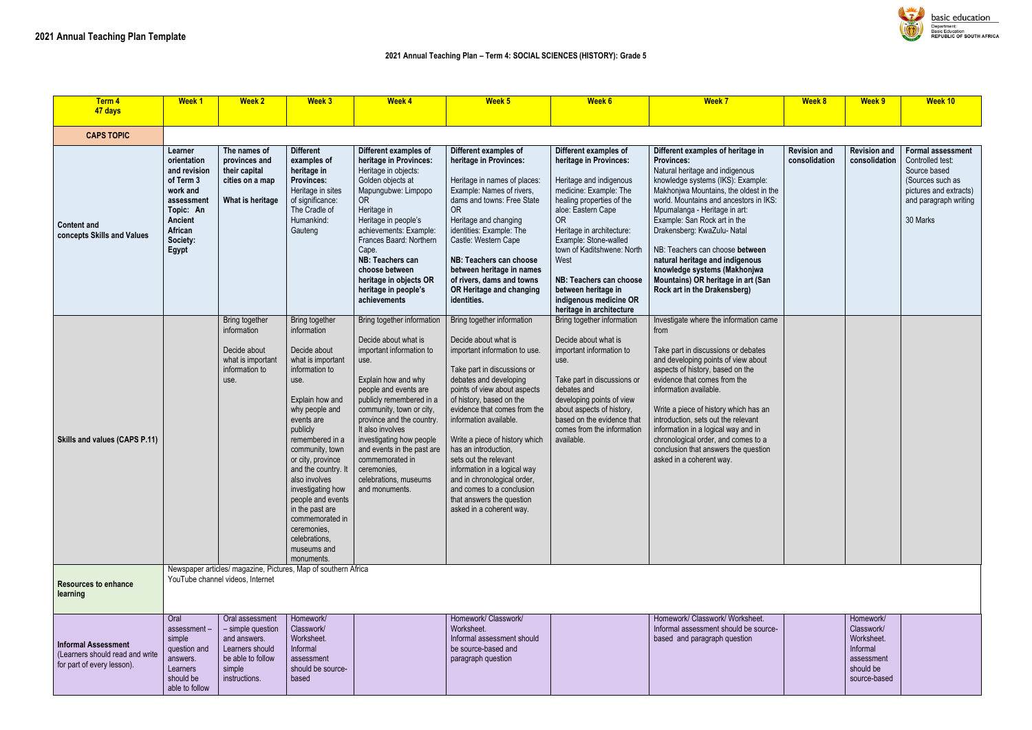| <b>Term 4</b><br>47 days                                                                    | <b>Week 1</b>                                                                                                                         | <b>Week 2</b>                                                                                                           | <b>Week 3</b>                                                                                                                                                                                                                                                                                                                                                                                               | <b>Week 4</b>                                                                                                                                                                                                                                                                                                                                                                         | Week 5                                                                                                                                                                                                                                                                                                                                                                                                                                                                                                     | Week 6                                                                                                                                                                                                                                                                                                                                                                   | <b>Week 7</b>                                                                                                                                                                                                                                                                                                                                                                                                                                                                                  | <b>Week 8</b>                        | Week 9                                                                                       | <b>Week 10</b>                                                                                                              |
|---------------------------------------------------------------------------------------------|---------------------------------------------------------------------------------------------------------------------------------------|-------------------------------------------------------------------------------------------------------------------------|-------------------------------------------------------------------------------------------------------------------------------------------------------------------------------------------------------------------------------------------------------------------------------------------------------------------------------------------------------------------------------------------------------------|---------------------------------------------------------------------------------------------------------------------------------------------------------------------------------------------------------------------------------------------------------------------------------------------------------------------------------------------------------------------------------------|------------------------------------------------------------------------------------------------------------------------------------------------------------------------------------------------------------------------------------------------------------------------------------------------------------------------------------------------------------------------------------------------------------------------------------------------------------------------------------------------------------|--------------------------------------------------------------------------------------------------------------------------------------------------------------------------------------------------------------------------------------------------------------------------------------------------------------------------------------------------------------------------|------------------------------------------------------------------------------------------------------------------------------------------------------------------------------------------------------------------------------------------------------------------------------------------------------------------------------------------------------------------------------------------------------------------------------------------------------------------------------------------------|--------------------------------------|----------------------------------------------------------------------------------------------|-----------------------------------------------------------------------------------------------------------------------------|
| <b>CAPS TOPIC</b>                                                                           |                                                                                                                                       |                                                                                                                         |                                                                                                                                                                                                                                                                                                                                                                                                             |                                                                                                                                                                                                                                                                                                                                                                                       |                                                                                                                                                                                                                                                                                                                                                                                                                                                                                                            |                                                                                                                                                                                                                                                                                                                                                                          |                                                                                                                                                                                                                                                                                                                                                                                                                                                                                                |                                      |                                                                                              |                                                                                                                             |
| <b>Content and</b><br>concepts Skills and Values                                            | Learner<br>orientation<br>and revision<br>of Term 3<br>work and<br>assessment<br>Topic: An<br>Ancient<br>African<br>Society:<br>Egypt | The names of<br>provinces and<br>their capital<br>cities on a map<br>What is heritage                                   | <b>Different</b><br>examples of<br>heritage in<br><b>Provinces:</b><br>Heritage in sites<br>of significance:<br>The Cradle of<br>Humankind:<br>Gauteng                                                                                                                                                                                                                                                      | Different examples of<br>heritage in Provinces:<br>Heritage in objects:<br>Golden objects at<br>Mapungubwe: Limpopo<br><b>OR</b><br>Heritage in<br>Heritage in people's<br>achievements: Example:<br>Frances Baard: Northern<br>Cape.<br>NB: Teachers can<br>choose between<br>heritage in objects OR<br>heritage in people's<br>achievements                                         | Different examples of<br>heritage in Provinces:<br>Heritage in names of places:<br>Example: Names of rivers,<br>dams and towns: Free State<br><b>OR</b><br>Heritage and changing<br>identities: Example: The<br>Castle: Western Cape<br>NB: Teachers can choose<br>between heritage in names<br>of rivers, dams and towns<br>OR Heritage and changing<br>identities.                                                                                                                                       | Different examples of<br>heritage in Provinces:<br>Heritage and indigenous<br>medicine: Example: The<br>healing properties of the<br>aloe: Eastern Cape<br><b>OR</b><br>Heritage in architecture:<br>Example: Stone-walled<br>town of Kaditshwene: North<br>West<br>NB: Teachers can choose<br>between heritage in<br>indigenous medicine OR<br>heritage in architecture | Different examples of heritage in<br><b>Provinces:</b><br>Natural heritage and indigenous<br>knowledge systems (IKS): Example:<br>Makhonjwa Mountains, the oldest in the<br>world. Mountains and ancestors in IKS:<br>Mpumalanga - Heritage in art:<br>Example: San Rock art in the<br>Drakensberg: KwaZulu- Natal<br>NB: Teachers can choose between<br>natural heritage and indigenous<br>knowledge systems (Makhonjwa<br>Mountains) OR heritage in art (San<br>Rock art in the Drakensberg) | <b>Revision and</b><br>consolidation | <b>Revision and</b><br>consolidation                                                         | <b>Formal assess</b><br>Controlled test:<br>Source based<br>(Sources such a<br>pictures and ex<br>and paragraph<br>30 Marks |
| Skills and values (CAPS P.11)                                                               |                                                                                                                                       | <b>Bring together</b><br>information<br>Decide about<br>what is important<br>information to<br>use.                     | Bring together<br>information<br>Decide about<br>what is important<br>information to<br>use.<br>Explain how and<br>why people and<br>events are<br>publicly<br>remembered in a<br>community, town<br>or city, province<br>and the country. It<br>also involves<br>investigating how<br>people and events<br>in the past are<br>commemorated in<br>ceremonies,<br>celebrations,<br>museums and<br>monuments. | Bring together information<br>Decide about what is<br>important information to<br>use.<br>Explain how and why<br>people and events are<br>publicly remembered in a<br>community, town or city,<br>province and the country<br>It also involves<br>investigating how people<br>and events in the past are<br>commemorated in<br>ceremonies,<br>celebrations, museums<br>and monuments. | Bring together information<br>Decide about what is<br>important information to use.<br>Take part in discussions or<br>debates and developing<br>points of view about aspects<br>of history, based on the<br>evidence that comes from the<br>information available.<br>Write a piece of history which<br>has an introduction,<br>sets out the relevant<br>information in a logical way<br>and in chronological order,<br>and comes to a conclusion<br>that answers the question<br>asked in a coherent way. | Bring together information<br>Decide about what is<br>important information to<br>use.<br>Take part in discussions or<br>debates and<br>developing points of view<br>about aspects of history,<br>based on the evidence that<br>comes from the information<br>available.                                                                                                 | Investigate where the information came<br>from<br>Take part in discussions or debates<br>and developing points of view about<br>aspects of history, based on the<br>evidence that comes from the<br>information available.<br>Write a piece of history which has an<br>introduction, sets out the relevant<br>information in a logical way and in<br>chronological order, and comes to a<br>conclusion that answers the question<br>asked in a coherent way.                                   |                                      |                                                                                              |                                                                                                                             |
| <b>Resources to enhance</b><br>learning                                                     |                                                                                                                                       | YouTube channel videos, Internet                                                                                        | Newspaper articles/ magazine, Pictures, Map of southern Africa                                                                                                                                                                                                                                                                                                                                              |                                                                                                                                                                                                                                                                                                                                                                                       |                                                                                                                                                                                                                                                                                                                                                                                                                                                                                                            |                                                                                                                                                                                                                                                                                                                                                                          |                                                                                                                                                                                                                                                                                                                                                                                                                                                                                                |                                      |                                                                                              |                                                                                                                             |
| <b>Informal Assessment</b><br>(Learners should read and write<br>for part of every lesson). | Oral<br>assessment-<br>simple<br>question and<br>answers.<br>Learners<br>should be<br>able to follow                                  | Oral assessment<br>- simple question<br>and answers.<br>Learners should<br>be able to follow<br>simple<br>instructions. | Homework/<br>Classwork/<br>Worksheet.<br>Informal<br>assessment<br>should be source-<br>based                                                                                                                                                                                                                                                                                                               |                                                                                                                                                                                                                                                                                                                                                                                       | Homework/ Classwork/<br>Worksheet.<br>Informal assessment should<br>be source-based and<br>paragraph question                                                                                                                                                                                                                                                                                                                                                                                              |                                                                                                                                                                                                                                                                                                                                                                          | Homework/ Classwork/ Worksheet.<br>Informal assessment should be source-<br>based and paragraph question                                                                                                                                                                                                                                                                                                                                                                                       |                                      | Homework/<br>Classwork/<br>Worksheet.<br>Informal<br>assessment<br>should be<br>source-based |                                                                                                                             |



| Week 8                               | Week 9                                                                                       | Week 10                                                                                                                                         |  |  |  |  |  |
|--------------------------------------|----------------------------------------------------------------------------------------------|-------------------------------------------------------------------------------------------------------------------------------------------------|--|--|--|--|--|
|                                      |                                                                                              |                                                                                                                                                 |  |  |  |  |  |
|                                      |                                                                                              |                                                                                                                                                 |  |  |  |  |  |
| <b>Revision and</b><br>consolidation | <b>Revision and</b><br>consolidation                                                         | <b>Formal assessment</b><br>Controlled test:<br>Source based<br>(Sources such as<br>pictures and extracts)<br>and paragraph writing<br>30 Marks |  |  |  |  |  |
|                                      |                                                                                              |                                                                                                                                                 |  |  |  |  |  |
|                                      |                                                                                              |                                                                                                                                                 |  |  |  |  |  |
|                                      | Homework/<br>Classwork/<br>Worksheet.<br>Informal<br>assessment<br>should be<br>source-based |                                                                                                                                                 |  |  |  |  |  |